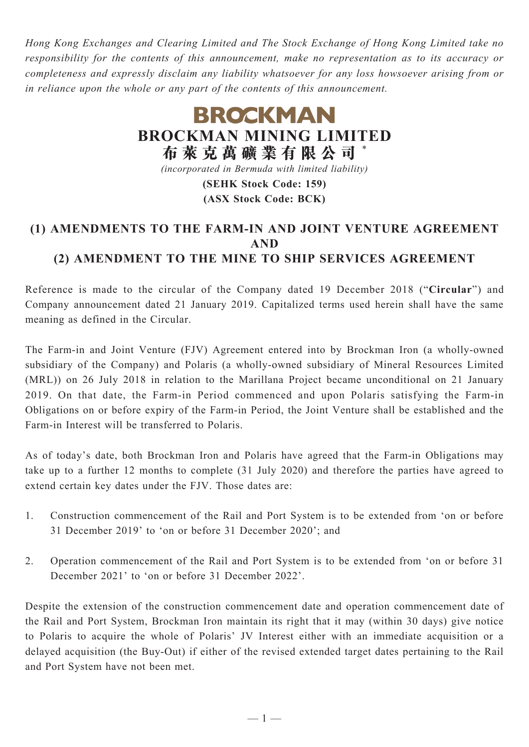*Hong Kong Exchanges and Clearing Limited and The Stock Exchange of Hong Kong Limited take no responsibility for the contents of this announcement, make no representation as to its accuracy or completeness and expressly disclaim any liability whatsoever for any loss howsoever arising from or in reliance upon the whole or any part of the contents of this announcement.*

# **BROCKMAN BROCKMAN MINING LIMITED 布 萊 克 萬 礦 業 有 限 公 司** \* *(incorporated in Bermuda with limited liability)*

**(SEHK Stock Code: 159) (ASX Stock Code: BCK)**

## **(1) AMENDMENTS TO THE FARM-IN AND JOINT VENTURE AGREEMENT AND (2) AMENDMENT TO THE MINE TO SHIP SERVICES AGREEMENT**

Reference is made to the circular of the Company dated 19 December 2018 ("**Circular**") and Company announcement dated 21 January 2019. Capitalized terms used herein shall have the same meaning as defined in the Circular.

The Farm-in and Joint Venture (FJV) Agreement entered into by Brockman Iron (a wholly-owned subsidiary of the Company) and Polaris (a wholly-owned subsidiary of Mineral Resources Limited (MRL)) on 26 July 2018 in relation to the Marillana Project became unconditional on 21 January 2019. On that date, the Farm-in Period commenced and upon Polaris satisfying the Farm-in Obligations on or before expiry of the Farm-in Period, the Joint Venture shall be established and the Farm-in Interest will be transferred to Polaris.

As of today's date, both Brockman Iron and Polaris have agreed that the Farm-in Obligations may take up to a further 12 months to complete (31 July 2020) and therefore the parties have agreed to extend certain key dates under the FJV. Those dates are:

- 1. Construction commencement of the Rail and Port System is to be extended from 'on or before 31 December 2019' to 'on or before 31 December 2020'; and
- 2. Operation commencement of the Rail and Port System is to be extended from 'on or before 31 December 2021' to 'on or before 31 December 2022'.

Despite the extension of the construction commencement date and operation commencement date of the Rail and Port System, Brockman Iron maintain its right that it may (within 30 days) give notice to Polaris to acquire the whole of Polaris' JV Interest either with an immediate acquisition or a delayed acquisition (the Buy-Out) if either of the revised extended target dates pertaining to the Rail and Port System have not been met.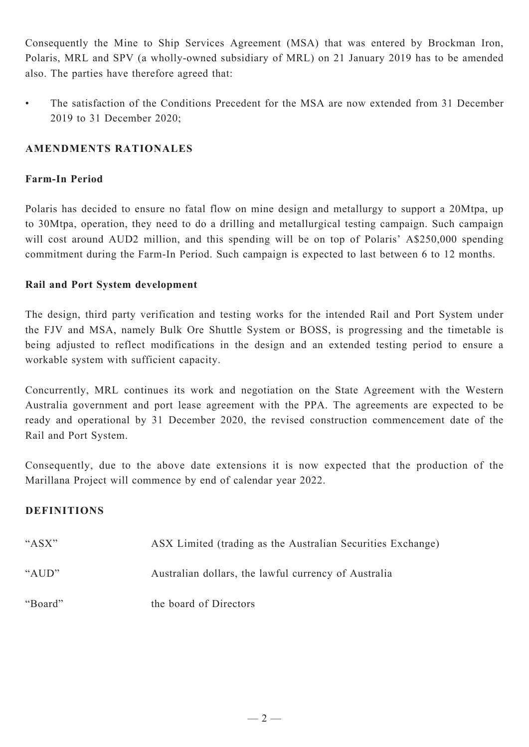Consequently the Mine to Ship Services Agreement (MSA) that was entered by Brockman Iron, Polaris, MRL and SPV (a wholly-owned subsidiary of MRL) on 21 January 2019 has to be amended also. The parties have therefore agreed that:

• The satisfaction of the Conditions Precedent for the MSA are now extended from 31 December 2019 to 31 December 2020;

### **AMENDMENTS RATIONALES**

#### **Farm-In Period**

Polaris has decided to ensure no fatal flow on mine design and metallurgy to support a 20Mtpa, up to 30Mtpa, operation, they need to do a drilling and metallurgical testing campaign. Such campaign will cost around AUD2 million, and this spending will be on top of Polaris' A\$250,000 spending commitment during the Farm-In Period. Such campaign is expected to last between 6 to 12 months.

#### **Rail and Port System development**

The design, third party verification and testing works for the intended Rail and Port System under the FJV and MSA, namely Bulk Ore Shuttle System or BOSS, is progressing and the timetable is being adjusted to reflect modifications in the design and an extended testing period to ensure a workable system with sufficient capacity.

Concurrently, MRL continues its work and negotiation on the State Agreement with the Western Australia government and port lease agreement with the PPA. The agreements are expected to be ready and operational by 31 December 2020, the revised construction commencement date of the Rail and Port System.

Consequently, due to the above date extensions it is now expected that the production of the Marillana Project will commence by end of calendar year 2022.

#### **DEFINITIONS**

| " $ASX"$ | ASX Limited (trading as the Australian Securities Exchange) |
|----------|-------------------------------------------------------------|
| " $AUD"$ | Australian dollars, the lawful currency of Australia        |
| "Board"  | the board of Directors                                      |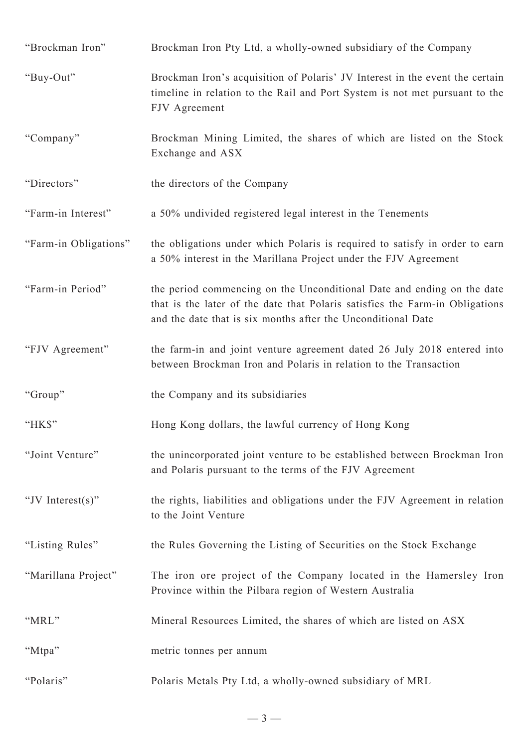| "Brockman Iron"       | Brockman Iron Pty Ltd, a wholly-owned subsidiary of the Company                                                                                                                                                        |
|-----------------------|------------------------------------------------------------------------------------------------------------------------------------------------------------------------------------------------------------------------|
| "Buy-Out"             | Brockman Iron's acquisition of Polaris' JV Interest in the event the certain<br>timeline in relation to the Rail and Port System is not met pursuant to the<br>FJV Agreement                                           |
| "Company"             | Brockman Mining Limited, the shares of which are listed on the Stock<br>Exchange and ASX                                                                                                                               |
| "Directors"           | the directors of the Company                                                                                                                                                                                           |
| "Farm-in Interest"    | a 50% undivided registered legal interest in the Tenements                                                                                                                                                             |
| "Farm-in Obligations" | the obligations under which Polaris is required to satisfy in order to earn<br>a 50% interest in the Marillana Project under the FJV Agreement                                                                         |
| "Farm-in Period"      | the period commencing on the Unconditional Date and ending on the date<br>that is the later of the date that Polaris satisfies the Farm-in Obligations<br>and the date that is six months after the Unconditional Date |
| "FJV Agreement"       | the farm-in and joint venture agreement dated 26 July 2018 entered into<br>between Brockman Iron and Polaris in relation to the Transaction                                                                            |
| "Group"               | the Company and its subsidiaries                                                                                                                                                                                       |
| " $HKS$ "             | Hong Kong dollars, the lawful currency of Hong Kong                                                                                                                                                                    |
| "Joint Venture"       | the unincorporated joint venture to be established between Brockman Iron<br>and Polaris pursuant to the terms of the FJV Agreement                                                                                     |
| "JV Interest $(s)$ "  | the rights, liabilities and obligations under the FJV Agreement in relation<br>to the Joint Venture                                                                                                                    |
| "Listing Rules"       | the Rules Governing the Listing of Securities on the Stock Exchange                                                                                                                                                    |
| "Marillana Project"   | The iron ore project of the Company located in the Hamersley Iron<br>Province within the Pilbara region of Western Australia                                                                                           |
| "MRL"                 | Mineral Resources Limited, the shares of which are listed on ASX                                                                                                                                                       |
| "Mtpa"                | metric tonnes per annum                                                                                                                                                                                                |
| "Polaris"             | Polaris Metals Pty Ltd, a wholly-owned subsidiary of MRL                                                                                                                                                               |